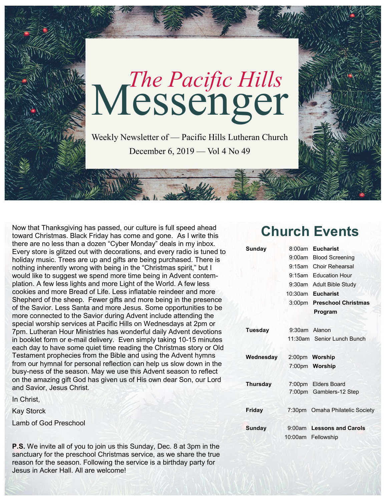

Now that Thanksgiving has passed, our culture is full speed ahead toward Christmas. Black Friday has come and gone. As I write this there are no less than a dozen "Cyber Monday" deals in my inbox. Every store is glitzed out with decorations, and every radio is tuned to holiday music. Trees are up and gifts are being purchased. There is nothing inherently wrong with being in the "Christmas spirit," but I would like to suggest we spend more time being in Advent contemplation. A few less lights and more Light of the World. A few less cookies and more Bread of Life. Less inflatable reindeer and more Shepherd of the sheep. Fewer gifts and more being in the presence of the Savior. Less Santa and more Jesus. Some opportunities to be more connected to the Savior during Advent include attending the special worship services at Pacific Hills on Wednesdays at 2pm or 7pm. Lutheran Hour Ministries has wonderful daily Advent devotions in booklet form or e-mail delivery. Even simply taking 10-15 minutes each day to have some quiet time reading the Christmas story or Old Testament prophecies from the Bible and using the Advent hymns from our hymnal for personal reflection can help us slow down in the busy-ness of the season. May we use this Advent season to reflect on the amazing gift God has given us of His own dear Son, our Lord and Savior, Jesus Christ.

In Christ,

Kay Storck

Lamb of God Preschool

**P.S.** We invite all of you to join us this Sunday, Dec. 8 at 3pm in the sanctuary for the preschool Christmas service, as we share the true reason for the season. Following the service is a birthday party for Jesus in Acker Hall. All are welcome!

# **Church Events**

| Sunday          | 8:00am        | <b>Eucharist</b>                |
|-----------------|---------------|---------------------------------|
|                 | 9:00am        | <b>Blood Screening</b>          |
|                 |               | 9:15am Choir Rehearsal          |
|                 |               | 9:15am Education Hour           |
|                 |               | 9:30am Adult Bible Study        |
|                 |               | 10:30am Eucharist               |
|                 |               | 3:00pm Preschool Christmas      |
|                 |               | Program                         |
|                 |               |                                 |
| <b>Tuesday</b>  | 9:30am Alanon |                                 |
|                 |               | 11:30am Senior Lunch Bunch      |
|                 |               |                                 |
| Wednesday       |               | 2:00pm Worship                  |
|                 |               | 7:00pm Worship                  |
|                 |               |                                 |
| <b>Thursday</b> |               | 7:00pm Elders Board             |
|                 |               | 7:00pm Gamblers-12 Step         |
|                 |               |                                 |
| <b>Friday</b>   |               | 7:30pm Omaha Philatelic Society |
|                 |               |                                 |
| <b>Sunday</b>   |               | 9:00am Lessons and Carols       |
|                 | 10:00am       | Fellowship                      |